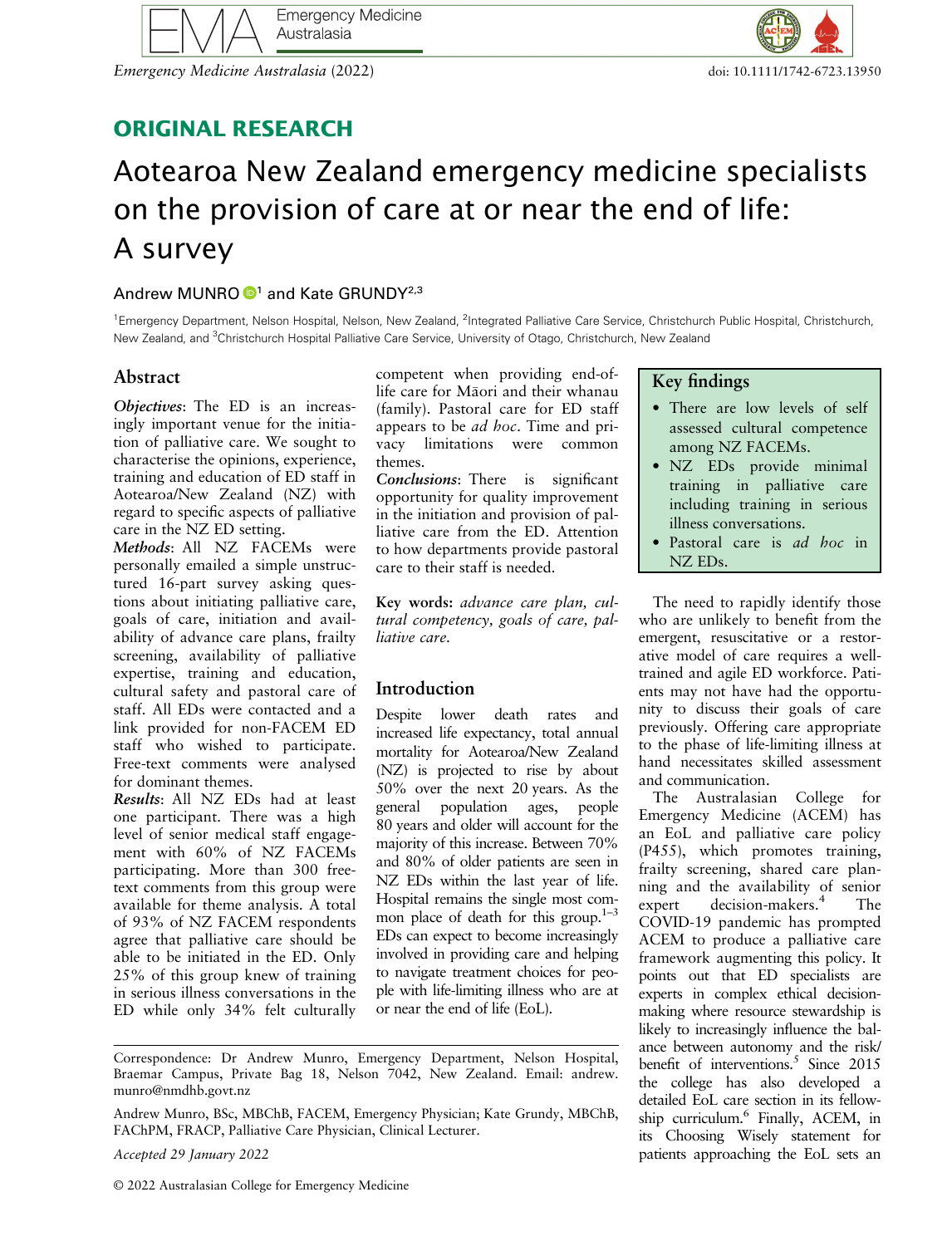

Emergency Medicine Australasia (2022) doi: 10.1111/1742-6723.13950



# ORIGINAL RESEARCH

# Aotearoa New Zealand emergency medicine specialists on the provision of care at or near the end of life: A survey

# Andrew MUNRO  $\mathbf{D}^1$  and Kate GRUNDY<sup>2,3</sup>

<sup>1</sup> Emergency Department, Nelson Hospital, Nelson, New Zealand, <sup>2</sup>Integrated Palliative Care Service, Christchurch Public Hospital, Christchurch, New Zealand, and <sup>3</sup>Christchurch Hospital Palliative Care Service, University of Otago, Christchurch, New Zealand

# Abstract

Objectives: The ED is an increasingly important venue for the initiation of palliative care. We sought to characterise the opinions, experience, training and education of ED staff in Aotearoa/New Zealand (NZ) with regard to specific aspects of palliative care in the NZ ED setting.

Methods: All NZ FACEMs were personally emailed a simple unstructured 16-part survey asking questions about initiating palliative care, goals of care, initiation and availability of advance care plans, frailty screening, availability of palliative expertise, training and education, cultural safety and pastoral care of staff. All EDs were contacted and a link provided for non-FACEM ED staff who wished to participate. Free-text comments were analysed for dominant themes.

Results: All NZ EDs had at least one participant. There was a high level of senior medical staff engagement with 60% of NZ FACEMs participating. More than 300 freetext comments from this group were available for theme analysis. A total of 93% of NZ FACEM respondents agree that palliative care should be able to be initiated in the ED. Only 25% of this group knew of training in serious illness conversations in the ED while only 34% felt culturally competent when providing end-oflife care for Maori and their whanau (family). Pastoral care for ED staff appears to be ad hoc. Time and privacy limitations were common themes.

Conclusions: There is significant opportunity for quality improvement in the initiation and provision of palliative care from the ED. Attention to how departments provide pastoral care to their staff is needed.

Key words: advance care plan, cultural competency, goals of care, palliative care.

# Introduction

Despite lower death rates and increased life expectancy, total annual mortality for Aotearoa/New Zealand (NZ) is projected to rise by about 50% over the next 20 years. As the general population ages, people 80 years and older will account for the majority of this increase. Between 70% and 80% of older patients are seen in NZ EDs within the last year of life. Hospital remains the single most common place of death for this group. $1-3$ EDs can expect to become increasingly involved in providing care and helping to navigate treatment choices for people with life-limiting illness who are at or near the end of life (EoL).

Accepted 29 January 2022

#### Key findings

- There are low levels of self assessed cultural competence among NZ FACEMs.
- NZ EDs provide minimal training in palliative care including training in serious illness conversations.
- Pastoral care is ad hoc in NZ EDs.

The need to rapidly identify those who are unlikely to benefit from the emergent, resuscitative or a restorative model of care requires a welltrained and agile ED workforce. Patients may not have had the opportunity to discuss their goals of care previously. Offering care appropriate to the phase of life-limiting illness at hand necessitates skilled assessment and communication.

The Australasian College for Emergency Medicine (ACEM) has an EoL and palliative care policy (P455), which promotes training, frailty screening, shared care planning and the availability of senior expert decision-makers.<sup>4</sup> The COVID-19 pandemic has prompted ACEM to produce a palliative care framework augmenting this policy. It points out that ED specialists are experts in complex ethical decisionmaking where resource stewardship is likely to increasingly influence the balance between autonomy and the risk/ benefit of interventions.<sup>5</sup> Since 2015 the college has also developed a detailed EoL care section in its fellowship curriculum.<sup>6</sup> Finally, ACEM, in its Choosing Wisely statement for patients approaching the EoL sets an

Correspondence: Dr Andrew Munro, Emergency Department, Nelson Hospital, Braemar Campus, Private Bag 18, Nelson 7042, New Zealand. Email: [andrew.](mailto:andrew.munro@nmdhb.govt.nz) [munro@nmdhb.govt.nz](mailto:andrew.munro@nmdhb.govt.nz)

Andrew Munro, BSc, MBChB, FACEM, Emergency Physician; Kate Grundy, MBChB, FAChPM, FRACP, Palliative Care Physician, Clinical Lecturer.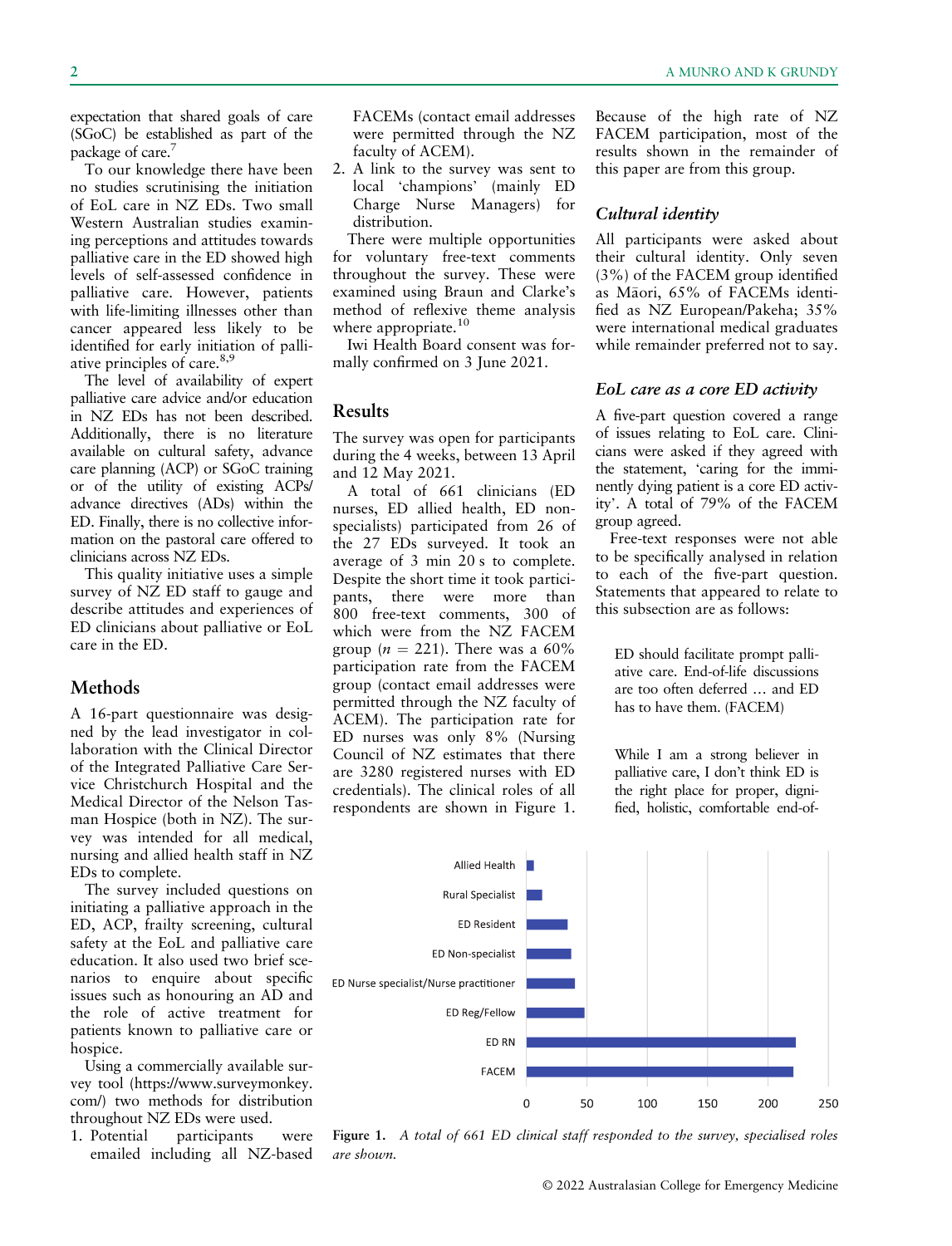expectation that shared goals of care (SGoC) be established as part of the package of care.<sup>7</sup>

To our knowledge there have been no studies scrutinising the initiation of EoL care in NZ EDs. Two small Western Australian studies examining perceptions and attitudes towards palliative care in the ED showed high levels of self-assessed confidence in palliative care. However, patients with life-limiting illnesses other than cancer appeared less likely to be identified for early initiation of palliative principles of care.<sup>8,9</sup>

The level of availability of expert palliative care advice and/or education in NZ EDs has not been described. Additionally, there is no literature available on cultural safety, advance care planning (ACP) or SGoC training or of the utility of existing ACPs/ advance directives (ADs) within the ED. Finally, there is no collective information on the pastoral care offered to clinicians across NZ EDs.

This quality initiative uses a simple survey of NZ ED staff to gauge and describe attitudes and experiences of ED clinicians about palliative or EoL care in the ED.

# Methods

A 16-part questionnaire was designed by the lead investigator in collaboration with the Clinical Director of the Integrated Palliative Care Service Christchurch Hospital and the Medical Director of the Nelson Tasman Hospice (both in NZ). The survey was intended for all medical, nursing and allied health staff in NZ EDs to complete.

The survey included questions on initiating a palliative approach in the ED, ACP, frailty screening, cultural safety at the EoL and palliative care education. It also used two brief scenarios to enquire about specific issues such as honouring an AD and the role of active treatment for patients known to palliative care or hospice.

Using a commercially available survey tool [\(https://www.surveymonkey.](https://www.surveymonkey.com/) [com/](https://www.surveymonkey.com/)) two methods for distribution throughout NZ EDs were used.

1. Potential participants were emailed including all NZ-based FACEMs (contact email addresses were permitted through the NZ faculty of ACEM).

2. A link to the survey was sent to local 'champions' (mainly ED Charge Nurse Managers) for distribution.

There were multiple opportunities for voluntary free-text comments throughout the survey. These were examined using Braun and Clarke's method of reflexive theme analysis where appropriate. $10$ 

Iwi Health Board consent was formally confirmed on 3 June 2021.

#### Results

The survey was open for participants during the 4 weeks, between 13 April and 12 May 2021.

A total of 661 clinicians (ED nurses, ED allied health, ED nonspecialists) participated from 26 of the 27 EDs surveyed. It took an average of 3 min 20 s to complete. Despite the short time it took participants, there were more than 800 free-text comments, 300 of which were from the NZ FACEM group ( $n = 221$ ). There was a 60% participation rate from the FACEM group (contact email addresses were permitted through the NZ faculty of ACEM). The participation rate for ED nurses was only 8% (Nursing Council of NZ estimates that there are 3280 registered nurses with ED credentials). The clinical roles of all respondents are shown in Figure 1.

Because of the high rate of NZ FACEM participation, most of the results shown in the remainder of this paper are from this group.

#### Cultural identity

All participants were asked about their cultural identity. Only seven (3%) of the FACEM group identified as Maori, 65% of FACEMs identified as NZ European/Pakeha; 35% were international medical graduates while remainder preferred not to say.

#### EoL care as a core ED activity

A five-part question covered a range of issues relating to EoL care. Clinicians were asked if they agreed with the statement, 'caring for the imminently dying patient is a core ED activity'. A total of 79% of the FACEM group agreed.

Free-text responses were not able to be specifically analysed in relation to each of the five-part question. Statements that appeared to relate to this subsection are as follows:

ED should facilitate prompt palliative care. End-of-life discussions are too often deferred … and ED has to have them. (FACEM)

While I am a strong believer in palliative care, I don't think ED is the right place for proper, dignified, holistic, comfortable end-of-



Figure 1. A total of 661 ED clinical staff responded to the survey, specialised roles are shown.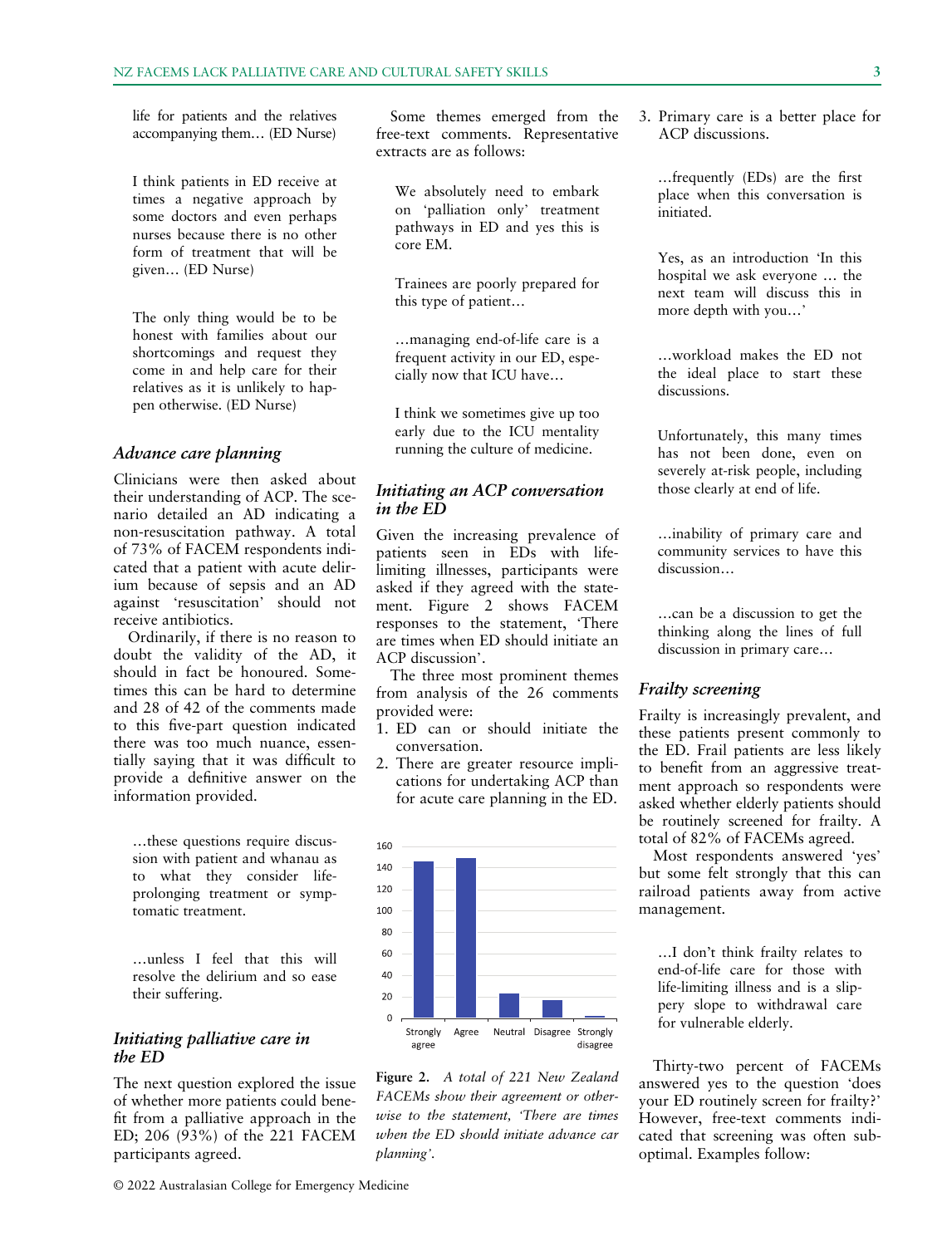life for patients and the relatives accompanying them… (ED Nurse)

I think patients in ED receive at times a negative approach by some doctors and even perhaps nurses because there is no other form of treatment that will be given… (ED Nurse)

The only thing would be to be honest with families about our shortcomings and request they come in and help care for their relatives as it is unlikely to happen otherwise. (ED Nurse)

#### Advance care planning

Clinicians were then asked about their understanding of ACP. The scenario detailed an AD indicating a non-resuscitation pathway. A total of 73% of FACEM respondents indicated that a patient with acute delirium because of sepsis and an AD against 'resuscitation' should not receive antibiotics.

Ordinarily, if there is no reason to doubt the validity of the AD, it should in fact be honoured. Sometimes this can be hard to determine and 28 of 42 of the comments made to this five-part question indicated there was too much nuance, essentially saying that it was difficult to provide a definitive answer on the information provided.

…these questions require discussion with patient and whanau as to what they consider lifeprolonging treatment or symptomatic treatment.

…unless I feel that this will resolve the delirium and so ease their suffering.

#### Initiating palliative care in the ED

The next question explored the issue of whether more patients could benefit from a palliative approach in the ED; 206 (93%) of the 221 FACEM participants agreed.

© 2022 Australasian College for Emergency Medicine

Some themes emerged from the free-text comments. Representative extracts are as follows:

We absolutely need to embark on 'palliation only' treatment pathways in ED and yes this is core EM.

Trainees are poorly prepared for this type of patient…

…managing end-of-life care is a frequent activity in our ED, especially now that ICU have…

I think we sometimes give up too early due to the ICU mentality running the culture of medicine.

# Initiating an ACP conversation in the ED

Given the increasing prevalence of patients seen in EDs with lifelimiting illnesses, participants were asked if they agreed with the statement. Figure 2 shows FACEM responses to the statement, 'There are times when ED should initiate an ACP discussion'.

The three most prominent themes from analysis of the 26 comments provided were:

- 1. ED can or should initiate the conversation.
- 2. There are greater resource implications for undertaking ACP than for acute care planning in the ED.

160



Figure 2. A total of 221 New Zealand FACEMs show their agreement or otherwise to the statement, 'There are times when the ED should initiate advance car planning'.

3. Primary care is a better place for ACP discussions.

…frequently (EDs) are the first place when this conversation is initiated.

Yes, as an introduction 'In this hospital we ask everyone … the next team will discuss this in more depth with you…'

…workload makes the ED not the ideal place to start these discussions.

Unfortunately, this many times has not been done, even on severely at-risk people, including those clearly at end of life.

…inability of primary care and community services to have this discussion…

…can be a discussion to get the thinking along the lines of full discussion in primary care…

#### Frailty screening

Frailty is increasingly prevalent, and these patients present commonly to the ED. Frail patients are less likely to benefit from an aggressive treatment approach so respondents were asked whether elderly patients should be routinely screened for frailty. A total of 82% of FACEMs agreed.

Most respondents answered 'yes' but some felt strongly that this can railroad patients away from active management.

…I don't think frailty relates to end-of-life care for those with life-limiting illness and is a slippery slope to withdrawal care for vulnerable elderly.

Thirty-two percent of FACEMs answered yes to the question 'does your ED routinely screen for frailty?' However, free-text comments indicated that screening was often suboptimal. Examples follow: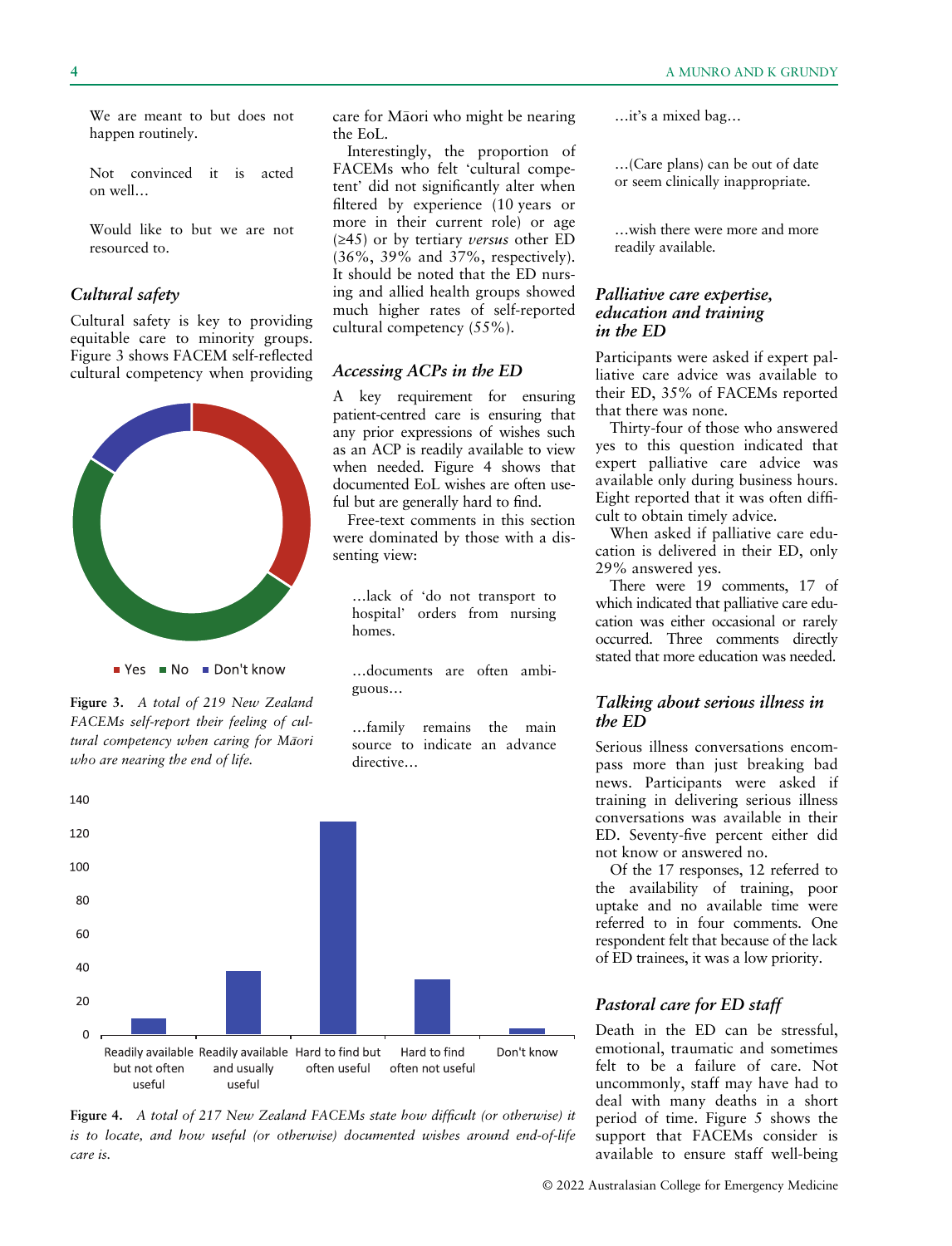We are meant to but does not happen routinely.

Not convinced it is acted on well…

Would like to but we are not resourced to.

### Cultural safety

Cultural safety is key to providing equitable care to minority groups. Figure 3 shows FACEM self-reflected cultural competency when providing



Figure 3. A total of 219 New Zealand FACEMs self-report their feeling of cultural competency when caring for Māori who are nearing the end of life.

care for Māori who might be nearing the EoL.

Interestingly, the proportion of FACEMs who felt 'cultural competent' did not significantly alter when filtered by experience (10 years or more in their current role) or age  $(≥45)$  or by tertiary versus other ED (36%, 39% and 37%, respectively). It should be noted that the ED nursing and allied health groups showed much higher rates of self-reported cultural competency (55%).

#### Accessing ACPs in the ED

A key requirement for ensuring patient-centred care is ensuring that any prior expressions of wishes such as an ACP is readily available to view when needed. Figure 4 shows that documented EoL wishes are often useful but are generally hard to find.

Free-text comments in this section were dominated by those with a dissenting view:

…lack of 'do not transport to hospital' orders from nursing homes.

…documents are often ambiguous…

…family remains the main source to indicate an advance directive…



Figure 4. A total of 217 New Zealand FACEMs state how difficult (or otherwise) it is to locate, and how useful (or otherwise) documented wishes around end-of-life care is.

…it's a mixed bag…

…(Care plans) can be out of date or seem clinically inappropriate.

…wish there were more and more readily available.

#### Palliative care expertise, education and training in the ED

Participants were asked if expert palliative care advice was available to their ED, 35% of FACEMs reported that there was none.

Thirty-four of those who answered yes to this question indicated that expert palliative care advice was available only during business hours. Eight reported that it was often difficult to obtain timely advice.

When asked if palliative care education is delivered in their ED, only 29% answered yes.

There were 19 comments, 17 of which indicated that palliative care education was either occasional or rarely occurred. Three comments directly stated that more education was needed.

# Talking about serious illness in the ED

Serious illness conversations encompass more than just breaking bad news. Participants were asked if training in delivering serious illness conversations was available in their ED. Seventy-five percent either did not know or answered no.

Of the 17 responses, 12 referred to the availability of training, poor uptake and no available time were referred to in four comments. One respondent felt that because of the lack of ED trainees, it was a low priority.

#### Pastoral care for ED staff

Death in the ED can be stressful, emotional, traumatic and sometimes felt to be a failure of care. Not uncommonly, staff may have had to deal with many deaths in a short period of time. Figure 5 shows the support that FACEMs consider is available to ensure staff well-being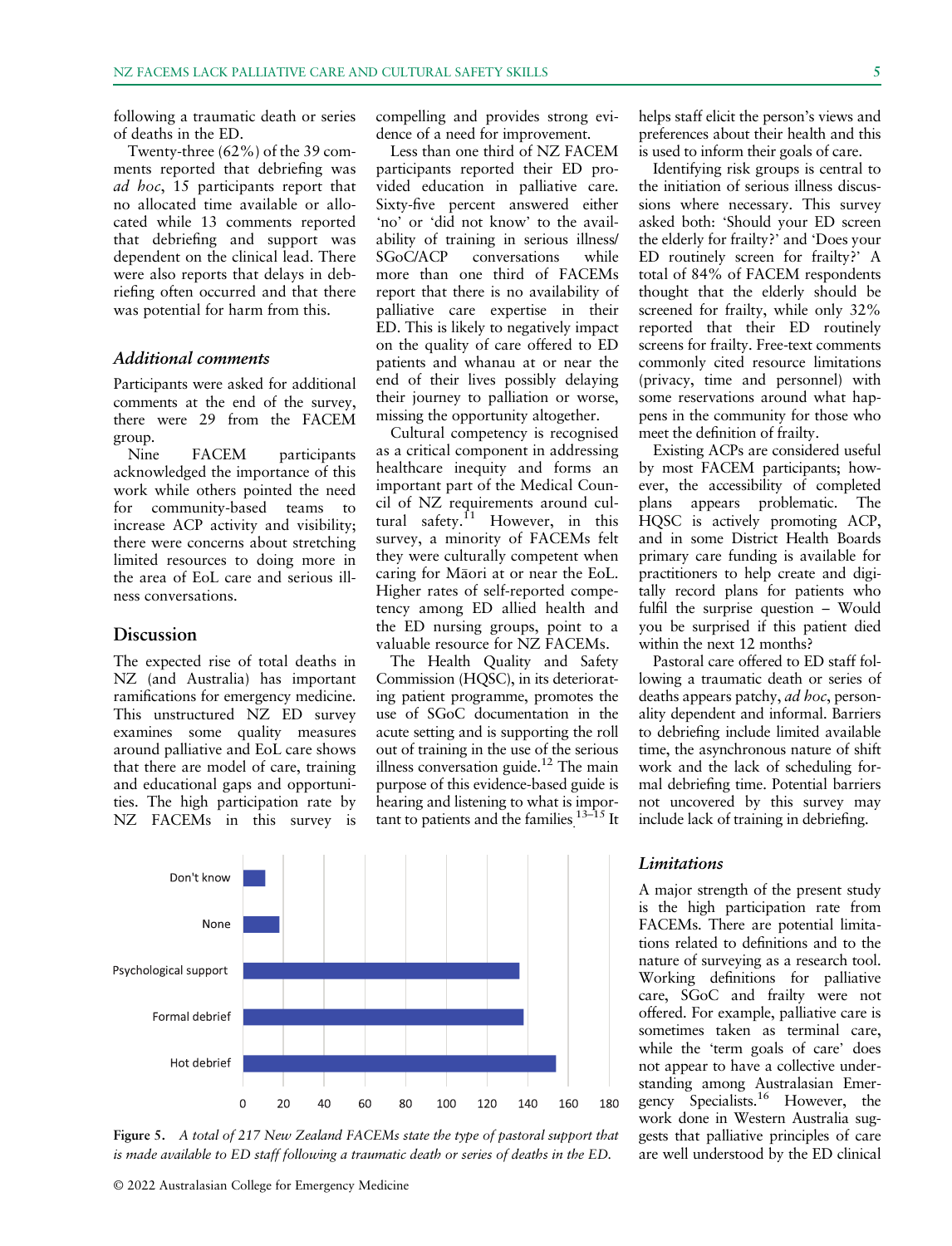following a traumatic death or series of deaths in the ED.

Twenty-three (62%) of the 39 comments reported that debriefing was ad hoc, 15 participants report that no allocated time available or allocated while 13 comments reported that debriefing and support was dependent on the clinical lead. There were also reports that delays in debriefing often occurred and that there was potential for harm from this.

# Additional comments

Participants were asked for additional comments at the end of the survey, there were 29 from the FACEM group.

Nine FACEM participants acknowledged the importance of this work while others pointed the need for community-based teams to increase ACP activity and visibility; there were concerns about stretching limited resources to doing more in the area of EoL care and serious illness conversations.

#### Discussion

The expected rise of total deaths in NZ (and Australia) has important ramifications for emergency medicine. This unstructured NZ ED survey examines some quality measures around palliative and EoL care shows that there are model of care, training and educational gaps and opportunities. The high participation rate by NZ FACEMs in this survey is compelling and provides strong evidence of a need for improvement.

Less than one third of NZ FACEM participants reported their ED provided education in palliative care. Sixty-five percent answered either 'no' or 'did not know' to the availability of training in serious illness/<br>SGoC/ACP conversations while conversations while more than one third of FACEMs report that there is no availability of palliative care expertise in their ED. This is likely to negatively impact on the quality of care offered to ED patients and whanau at or near the end of their lives possibly delaying their journey to palliation or worse, missing the opportunity altogether.

Cultural competency is recognised as a critical component in addressing healthcare inequity and forms an important part of the Medical Council of NZ requirements around cultural safety.<sup>11</sup> However, in this survey, a minority of FACEMs felt they were culturally competent when caring for Maori at or near the EoL. Higher rates of self-reported competency among ED allied health and the ED nursing groups, point to a valuable resource for NZ FACEMs.

The Health Quality and Safety Commission (HQSC), in its deteriorating patient programme, promotes the use of SGoC documentation in the acute setting and is supporting the roll out of training in the use of the serious illness conversation guide.<sup>12</sup> The main purpose of this evidence-based guide is hearing and listening to what is important to patients and the families. $13-15$  It



Figure 5. A total of 217 New Zealand FACEMs state the type of pastoral support that is made available to ED staff following a traumatic death or series of deaths in the ED.

helps staff elicit the person's views and preferences about their health and this is used to inform their goals of care.

Identifying risk groups is central to the initiation of serious illness discussions where necessary. This survey asked both: 'Should your ED screen the elderly for frailty?' and 'Does your ED routinely screen for frailty?' A total of 84% of FACEM respondents thought that the elderly should be screened for frailty, while only 32% reported that their ED routinely screens for frailty. Free-text comments commonly cited resource limitations (privacy, time and personnel) with some reservations around what happens in the community for those who meet the definition of frailty.

Existing ACPs are considered useful by most FACEM participants; however, the accessibility of completed plans appears problematic. The HQSC is actively promoting ACP, and in some District Health Boards primary care funding is available for practitioners to help create and digitally record plans for patients who fulfil the surprise question – Would you be surprised if this patient died within the next 12 months?

Pastoral care offered to ED staff following a traumatic death or series of deaths appears patchy, ad hoc, personality dependent and informal. Barriers to debriefing include limited available time, the asynchronous nature of shift work and the lack of scheduling formal debriefing time. Potential barriers not uncovered by this survey may include lack of training in debriefing.

#### Limitations

A major strength of the present study is the high participation rate from FACEMs. There are potential limitations related to definitions and to the nature of surveying as a research tool. Working definitions for palliative care, SGoC and frailty were not offered. For example, palliative care is sometimes taken as terminal care, while the 'term goals of care' does not appear to have a collective understanding among Australasian Emergency Specialists.16 However, the work done in Western Australia suggests that palliative principles of care are well understood by the ED clinical